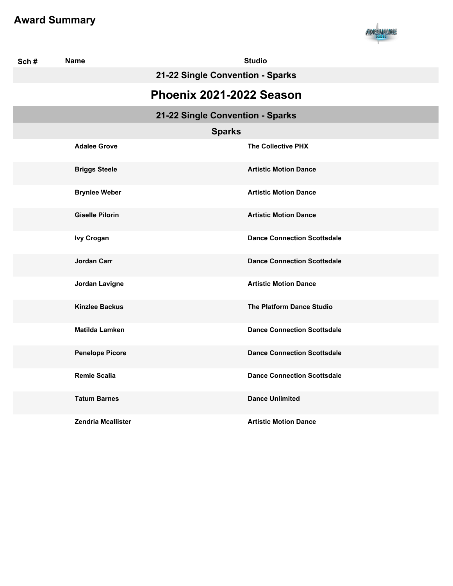

| Sch# | <b>Name</b>                      | <b>Studio</b>                      |  |
|------|----------------------------------|------------------------------------|--|
|      |                                  | 21-22 Single Convention - Sparks   |  |
|      | Phoenix 2021-2022 Season         |                                    |  |
|      | 21-22 Single Convention - Sparks |                                    |  |
|      | <b>Sparks</b>                    |                                    |  |
|      | <b>Adalee Grove</b>              | <b>The Collective PHX</b>          |  |
|      | <b>Briggs Steele</b>             | <b>Artistic Motion Dance</b>       |  |
|      | <b>Brynlee Weber</b>             | <b>Artistic Motion Dance</b>       |  |
|      | <b>Giselle Pilorin</b>           | <b>Artistic Motion Dance</b>       |  |
|      | <b>Ivy Crogan</b>                | <b>Dance Connection Scottsdale</b> |  |
|      | Jordan Carr                      | <b>Dance Connection Scottsdale</b> |  |
|      | Jordan Lavigne                   | <b>Artistic Motion Dance</b>       |  |
|      | <b>Kinzlee Backus</b>            | <b>The Platform Dance Studio</b>   |  |
|      | <b>Matilda Lamken</b>            | <b>Dance Connection Scottsdale</b> |  |
|      | <b>Penelope Picore</b>           | <b>Dance Connection Scottsdale</b> |  |
|      | <b>Remie Scalia</b>              | <b>Dance Connection Scottsdale</b> |  |
|      | <b>Tatum Barnes</b>              | <b>Dance Unlimited</b>             |  |
|      | <b>Zendria Mcallister</b>        | <b>Artistic Motion Dance</b>       |  |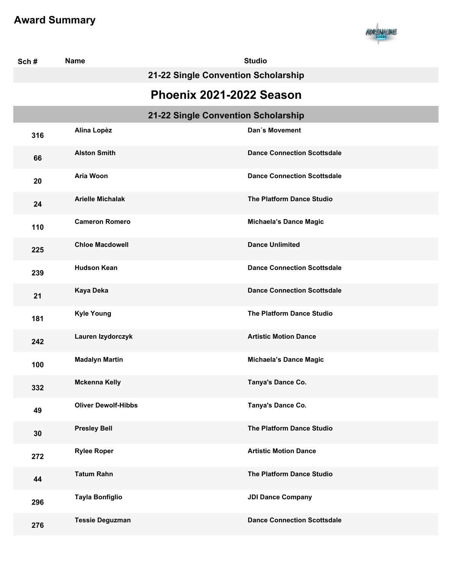

| Sch# | <b>Name</b>                |                                     | <b>Studio</b>                      |
|------|----------------------------|-------------------------------------|------------------------------------|
|      |                            | 21-22 Single Convention Scholarship |                                    |
|      |                            | Phoenix 2021-2022 Season            |                                    |
|      |                            | 21-22 Single Convention Scholarship |                                    |
| 316  | Alina Lopèz                |                                     | Dan's Movement                     |
| 66   | <b>Alston Smith</b>        |                                     | <b>Dance Connection Scottsdale</b> |
| 20   | Aria Woon                  |                                     | <b>Dance Connection Scottsdale</b> |
| 24   | <b>Arielle Michalak</b>    |                                     | <b>The Platform Dance Studio</b>   |
| 110  | <b>Cameron Romero</b>      |                                     | <b>Michaela's Dance Magic</b>      |
| 225  | <b>Chloe Macdowell</b>     |                                     | <b>Dance Unlimited</b>             |
| 239  | <b>Hudson Kean</b>         |                                     | <b>Dance Connection Scottsdale</b> |
| 21   | Kaya Deka                  |                                     | <b>Dance Connection Scottsdale</b> |
| 181  | <b>Kyle Young</b>          |                                     | The Platform Dance Studio          |
| 242  | Lauren Izydorczyk          |                                     | <b>Artistic Motion Dance</b>       |
| 100  | <b>Madalyn Martin</b>      |                                     | <b>Michaela's Dance Magic</b>      |
| 332  | <b>Mckenna Kelly</b>       |                                     | Tanya's Dance Co.                  |
| 49   | <b>Oliver Dewolf-Hibbs</b> |                                     | Tanya's Dance Co.                  |
| 30   | <b>Presley Bell</b>        |                                     | The Platform Dance Studio          |
| 272  | <b>Rylee Roper</b>         |                                     | <b>Artistic Motion Dance</b>       |
| 44   | <b>Tatum Rahn</b>          |                                     | The Platform Dance Studio          |
| 296  | <b>Tayla Bonfiglio</b>     |                                     | <b>JDI Dance Company</b>           |
| 276  | <b>Tessie Deguzman</b>     |                                     | <b>Dance Connection Scottsdale</b> |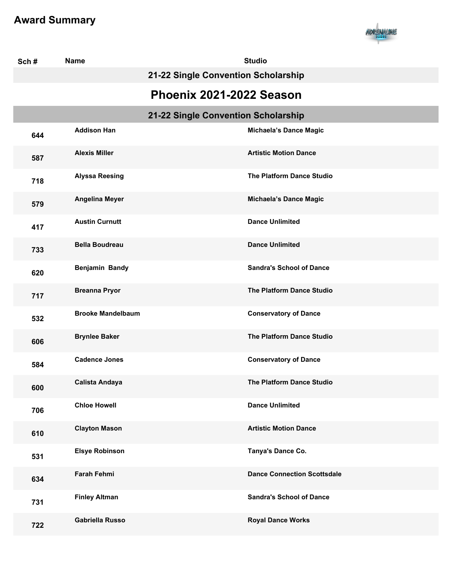

| Sch# | <b>Name</b>              |                                     | <b>Studio</b>                      |  |
|------|--------------------------|-------------------------------------|------------------------------------|--|
|      |                          | 21-22 Single Convention Scholarship |                                    |  |
|      | Phoenix 2021-2022 Season |                                     |                                    |  |
|      |                          | 21-22 Single Convention Scholarship |                                    |  |
| 644  | <b>Addison Han</b>       |                                     | <b>Michaela's Dance Magic</b>      |  |
| 587  | <b>Alexis Miller</b>     |                                     | <b>Artistic Motion Dance</b>       |  |
| 718  | <b>Alyssa Reesing</b>    |                                     | The Platform Dance Studio          |  |
| 579  | <b>Angelina Meyer</b>    |                                     | <b>Michaela's Dance Magic</b>      |  |
| 417  | <b>Austin Curnutt</b>    |                                     | <b>Dance Unlimited</b>             |  |
| 733  | <b>Bella Boudreau</b>    |                                     | <b>Dance Unlimited</b>             |  |
| 620  | Benjamin Bandy           |                                     | <b>Sandra's School of Dance</b>    |  |
| 717  | <b>Breanna Pryor</b>     |                                     | The Platform Dance Studio          |  |
| 532  | <b>Brooke Mandelbaum</b> |                                     | <b>Conservatory of Dance</b>       |  |
| 606  | <b>Brynlee Baker</b>     |                                     | The Platform Dance Studio          |  |
| 584  | <b>Cadence Jones</b>     |                                     | <b>Conservatory of Dance</b>       |  |
| 600  | <b>Calista Andaya</b>    |                                     | <b>The Platform Dance Studio</b>   |  |
| 706  | <b>Chloe Howell</b>      |                                     | <b>Dance Unlimited</b>             |  |
| 610  | <b>Clayton Mason</b>     |                                     | <b>Artistic Motion Dance</b>       |  |
| 531  | <b>Elsye Robinson</b>    |                                     | Tanya's Dance Co.                  |  |
| 634  | <b>Farah Fehmi</b>       |                                     | <b>Dance Connection Scottsdale</b> |  |
| 731  | <b>Finley Altman</b>     |                                     | <b>Sandra's School of Dance</b>    |  |
| 722  | Gabriella Russo          |                                     | <b>Royal Dance Works</b>           |  |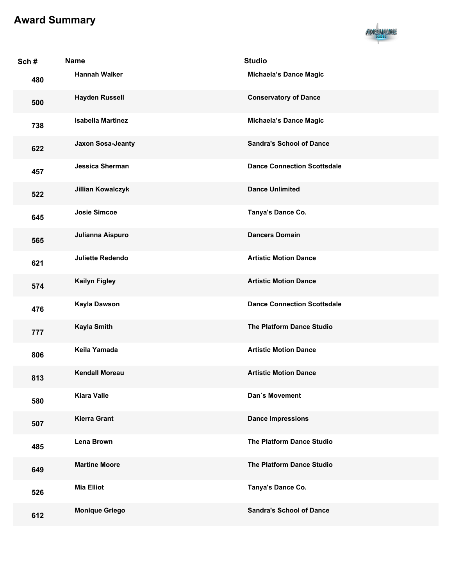

| Sch# | <b>Name</b>              | <b>Studio</b>                      |
|------|--------------------------|------------------------------------|
| 480  | <b>Hannah Walker</b>     | <b>Michaela's Dance Magic</b>      |
| 500  | <b>Hayden Russell</b>    | <b>Conservatory of Dance</b>       |
| 738  | <b>Isabella Martinez</b> | <b>Michaela's Dance Magic</b>      |
| 622  | <b>Jaxon Sosa-Jeanty</b> | <b>Sandra's School of Dance</b>    |
| 457  | <b>Jessica Sherman</b>   | <b>Dance Connection Scottsdale</b> |
| 522  | <b>Jillian Kowalczyk</b> | <b>Dance Unlimited</b>             |
| 645  | <b>Josie Simcoe</b>      | Tanya's Dance Co.                  |
| 565  | Julianna Aispuro         | <b>Dancers Domain</b>              |
| 621  | <b>Juliette Redendo</b>  | <b>Artistic Motion Dance</b>       |
| 574  | <b>Kailyn Figley</b>     | <b>Artistic Motion Dance</b>       |
| 476  | Kayla Dawson             | <b>Dance Connection Scottsdale</b> |
| 777  | <b>Kayla Smith</b>       | <b>The Platform Dance Studio</b>   |
| 806  | Keila Yamada             | <b>Artistic Motion Dance</b>       |
| 813  | <b>Kendall Moreau</b>    | <b>Artistic Motion Dance</b>       |
| 580  | <b>Kiara Valle</b>       | Dan's Movement                     |
| 507  | <b>Kierra Grant</b>      | <b>Dance Impressions</b>           |
| 485  | Lena Brown               | The Platform Dance Studio          |
| 649  | <b>Martine Moore</b>     | <b>The Platform Dance Studio</b>   |
| 526  | <b>Mia Elliot</b>        | Tanya's Dance Co.                  |
| 612  | <b>Monique Griego</b>    | <b>Sandra's School of Dance</b>    |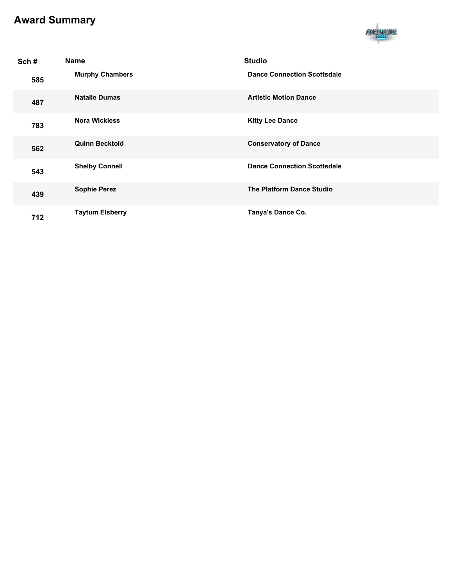

| Sch# | <b>Name</b>            | <b>Studio</b>                      |
|------|------------------------|------------------------------------|
| 585  | <b>Murphy Chambers</b> | <b>Dance Connection Scottsdale</b> |
| 487  | <b>Natalie Dumas</b>   | <b>Artistic Motion Dance</b>       |
| 783  | <b>Nora Wickless</b>   | <b>Kitty Lee Dance</b>             |
| 562  | <b>Quinn Becktold</b>  | <b>Conservatory of Dance</b>       |
| 543  | <b>Shelby Connell</b>  | <b>Dance Connection Scottsdale</b> |
| 439  | <b>Sophie Perez</b>    | <b>The Platform Dance Studio</b>   |
| 712  | <b>Taytum Elsberry</b> | Tanya's Dance Co.                  |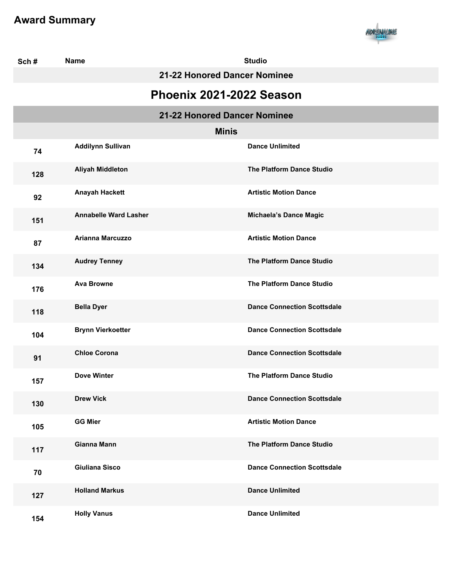

| Sch# | <b>Name</b>                  | <b>Studio</b>                      |
|------|------------------------------|------------------------------------|
|      | 21-22 Honored Dancer Nominee |                                    |
|      |                              | Phoenix 2021-2022 Season           |
|      |                              | 21-22 Honored Dancer Nominee       |
|      |                              | <b>Minis</b>                       |
| 74   | <b>Addilynn Sullivan</b>     | <b>Dance Unlimited</b>             |
| 128  | <b>Aliyah Middleton</b>      | <b>The Platform Dance Studio</b>   |
| 92   | <b>Anayah Hackett</b>        | <b>Artistic Motion Dance</b>       |
| 151  | <b>Annabelle Ward Lasher</b> | <b>Michaela's Dance Magic</b>      |
| 87   | <b>Arianna Marcuzzo</b>      | <b>Artistic Motion Dance</b>       |
| 134  | <b>Audrey Tenney</b>         | <b>The Platform Dance Studio</b>   |
| 176  | <b>Ava Browne</b>            | <b>The Platform Dance Studio</b>   |
| 118  | <b>Bella Dyer</b>            | <b>Dance Connection Scottsdale</b> |
| 104  | <b>Brynn Vierkoetter</b>     | <b>Dance Connection Scottsdale</b> |
| 91   | <b>Chloe Corona</b>          | <b>Dance Connection Scottsdale</b> |
| 157  | <b>Dove Winter</b>           | <b>The Platform Dance Studio</b>   |
| 130  | <b>Drew Vick</b>             | <b>Dance Connection Scottsdale</b> |
| 105  | <b>GG Mier</b>               | <b>Artistic Motion Dance</b>       |
| 117  | Gianna Mann                  | The Platform Dance Studio          |
| 70   | <b>Giuliana Sisco</b>        | <b>Dance Connection Scottsdale</b> |
| 127  | <b>Holland Markus</b>        | <b>Dance Unlimited</b>             |
| 154  | <b>Holly Vanus</b>           | <b>Dance Unlimited</b>             |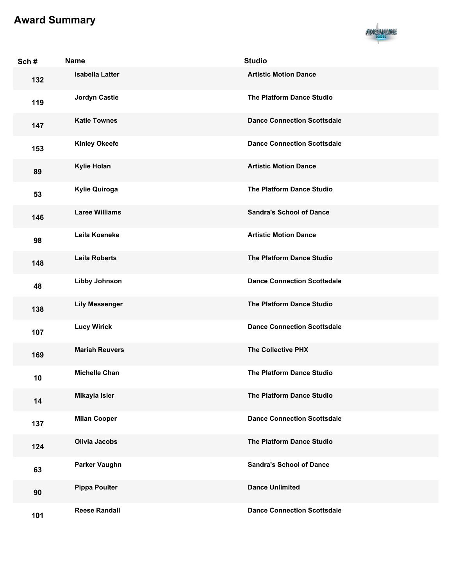

| Sch# | <b>Name</b>            | <b>Studio</b>                      |
|------|------------------------|------------------------------------|
| 132  | <b>Isabella Latter</b> | <b>Artistic Motion Dance</b>       |
| 119  | <b>Jordyn Castle</b>   | The Platform Dance Studio          |
| 147  | <b>Katie Townes</b>    | <b>Dance Connection Scottsdale</b> |
| 153  | <b>Kinley Okeefe</b>   | <b>Dance Connection Scottsdale</b> |
| 89   | <b>Kylie Holan</b>     | <b>Artistic Motion Dance</b>       |
| 53   | <b>Kylie Quiroga</b>   | The Platform Dance Studio          |
| 146  | <b>Laree Williams</b>  | <b>Sandra's School of Dance</b>    |
| 98   | Leila Koeneke          | <b>Artistic Motion Dance</b>       |
| 148  | <b>Leila Roberts</b>   | The Platform Dance Studio          |
| 48   | <b>Libby Johnson</b>   | <b>Dance Connection Scottsdale</b> |
| 138  | <b>Lily Messenger</b>  | The Platform Dance Studio          |
| 107  | <b>Lucy Wirick</b>     | <b>Dance Connection Scottsdale</b> |
| 169  | <b>Mariah Reuvers</b>  | <b>The Collective PHX</b>          |
| 10   | <b>Michelle Chan</b>   | <b>The Platform Dance Studio</b>   |
| 14   | Mikayla Isler          | The Platform Dance Studio          |
| 137  | <b>Milan Cooper</b>    | <b>Dance Connection Scottsdale</b> |
| 124  | <b>Olivia Jacobs</b>   | The Platform Dance Studio          |
| 63   | <b>Parker Vaughn</b>   | <b>Sandra's School of Dance</b>    |
| 90   | <b>Pippa Poulter</b>   | <b>Dance Unlimited</b>             |
| 101  | <b>Reese Randall</b>   | <b>Dance Connection Scottsdale</b> |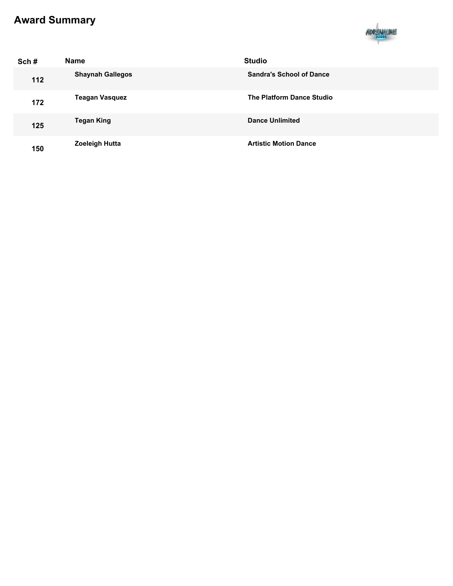

| Sch# | <b>Name</b>             | <b>Studio</b>                   |
|------|-------------------------|---------------------------------|
| 112  | <b>Shaynah Gallegos</b> | <b>Sandra's School of Dance</b> |
| 172  | <b>Teagan Vasquez</b>   | The Platform Dance Studio       |
| 125  | <b>Tegan King</b>       | <b>Dance Unlimited</b>          |
| 150  | <b>Zoeleigh Hutta</b>   | <b>Artistic Motion Dance</b>    |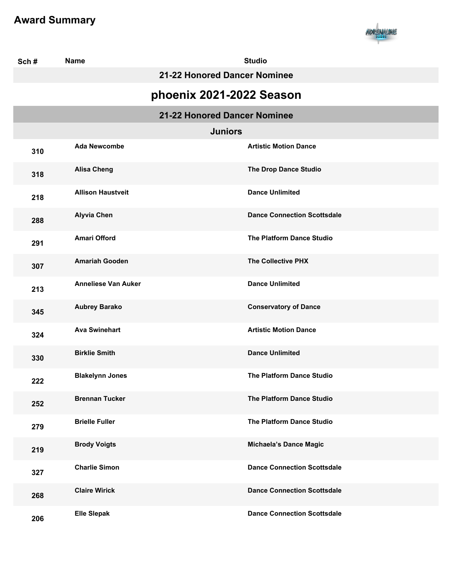

| Sch#                     | <b>Name</b>                | <b>Studio</b>                      |  |
|--------------------------|----------------------------|------------------------------------|--|
|                          |                            | 21-22 Honored Dancer Nominee       |  |
| phoenix 2021-2022 Season |                            |                                    |  |
|                          |                            | 21-22 Honored Dancer Nominee       |  |
|                          |                            | <b>Juniors</b>                     |  |
| 310                      | <b>Ada Newcombe</b>        | <b>Artistic Motion Dance</b>       |  |
| 318                      | <b>Alisa Cheng</b>         | The Drop Dance Studio              |  |
| 218                      | <b>Allison Haustveit</b>   | <b>Dance Unlimited</b>             |  |
| 288                      | <b>Alyvia Chen</b>         | <b>Dance Connection Scottsdale</b> |  |
| 291                      | <b>Amari Offord</b>        | <b>The Platform Dance Studio</b>   |  |
| 307                      | <b>Amariah Gooden</b>      | <b>The Collective PHX</b>          |  |
| 213                      | <b>Anneliese Van Auker</b> | <b>Dance Unlimited</b>             |  |
| 345                      | <b>Aubrey Barako</b>       | <b>Conservatory of Dance</b>       |  |
| 324                      | <b>Ava Swinehart</b>       | <b>Artistic Motion Dance</b>       |  |
| 330                      | <b>Birklie Smith</b>       | <b>Dance Unlimited</b>             |  |
| 222                      | <b>Blakelynn Jones</b>     | <b>The Platform Dance Studio</b>   |  |
| 252                      | <b>Brennan Tucker</b>      | <b>The Platform Dance Studio</b>   |  |
| 279                      | <b>Brielle Fuller</b>      | The Platform Dance Studio          |  |
| 219                      | <b>Brody Voigts</b>        | <b>Michaela's Dance Magic</b>      |  |
| 327                      | <b>Charlie Simon</b>       | <b>Dance Connection Scottsdale</b> |  |
| 268                      | <b>Claire Wirick</b>       | <b>Dance Connection Scottsdale</b> |  |
| 206                      | <b>Elle Slepak</b>         | <b>Dance Connection Scottsdale</b> |  |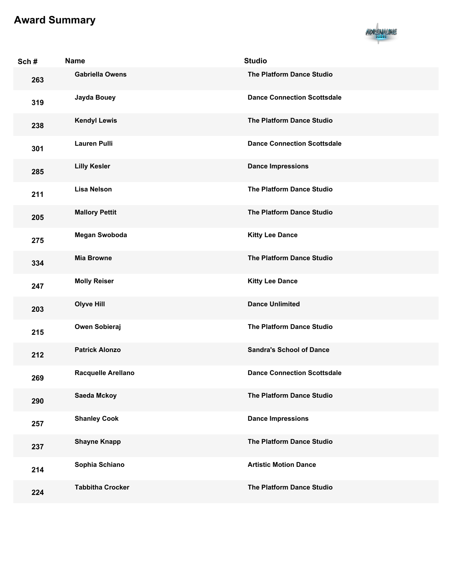

| Sch# | <b>Name</b>             | <b>Studio</b>                      |
|------|-------------------------|------------------------------------|
| 263  | <b>Gabriella Owens</b>  | The Platform Dance Studio          |
| 319  | Jayda Bouey             | <b>Dance Connection Scottsdale</b> |
| 238  | <b>Kendyl Lewis</b>     | <b>The Platform Dance Studio</b>   |
| 301  | <b>Lauren Pulli</b>     | <b>Dance Connection Scottsdale</b> |
| 285  | <b>Lilly Kesler</b>     | <b>Dance Impressions</b>           |
| 211  | <b>Lisa Nelson</b>      | The Platform Dance Studio          |
| 205  | <b>Mallory Pettit</b>   | The Platform Dance Studio          |
| 275  | <b>Megan Swoboda</b>    | <b>Kitty Lee Dance</b>             |
| 334  | <b>Mia Browne</b>       | The Platform Dance Studio          |
| 247  | <b>Molly Reiser</b>     | <b>Kitty Lee Dance</b>             |
| 203  | <b>Olyve Hill</b>       | <b>Dance Unlimited</b>             |
| 215  | Owen Sobieraj           | The Platform Dance Studio          |
| 212  | <b>Patrick Alonzo</b>   | <b>Sandra's School of Dance</b>    |
| 269  | Racquelle Arellano      | <b>Dance Connection Scottsdale</b> |
| 290  | <b>Saeda Mckoy</b>      | The Platform Dance Studio          |
| 257  | <b>Shanley Cook</b>     | <b>Dance Impressions</b>           |
| 237  | <b>Shayne Knapp</b>     | The Platform Dance Studio          |
| 214  | Sophia Schiano          | <b>Artistic Motion Dance</b>       |
| 224  | <b>Tabbitha Crocker</b> | The Platform Dance Studio          |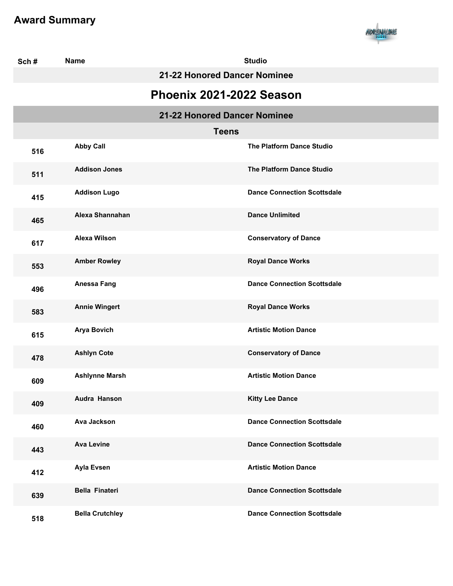

| Sch# | <b>Name</b>                  | <b>Studio</b>                      |  |
|------|------------------------------|------------------------------------|--|
|      |                              | 21-22 Honored Dancer Nominee       |  |
|      | Phoenix 2021-2022 Season     |                                    |  |
|      | 21-22 Honored Dancer Nominee |                                    |  |
|      | <b>Teens</b>                 |                                    |  |
| 516  | <b>Abby Call</b>             | <b>The Platform Dance Studio</b>   |  |
| 511  | <b>Addison Jones</b>         | The Platform Dance Studio          |  |
| 415  | <b>Addison Lugo</b>          | <b>Dance Connection Scottsdale</b> |  |
| 465  | Alexa Shannahan              | <b>Dance Unlimited</b>             |  |
| 617  | <b>Alexa Wilson</b>          | <b>Conservatory of Dance</b>       |  |
| 553  | <b>Amber Rowley</b>          | <b>Royal Dance Works</b>           |  |
| 496  | <b>Anessa Fang</b>           | <b>Dance Connection Scottsdale</b> |  |
| 583  | <b>Annie Wingert</b>         | <b>Royal Dance Works</b>           |  |
| 615  | <b>Arya Bovich</b>           | <b>Artistic Motion Dance</b>       |  |
| 478  | <b>Ashlyn Cote</b>           | <b>Conservatory of Dance</b>       |  |
| 609  | <b>Ashlynne Marsh</b>        | <b>Artistic Motion Dance</b>       |  |
| 409  | Audra Hanson                 | <b>Kitty Lee Dance</b>             |  |
| 460  | <b>Ava Jackson</b>           | <b>Dance Connection Scottsdale</b> |  |
| 443  | <b>Ava Levine</b>            | <b>Dance Connection Scottsdale</b> |  |
| 412  | <b>Ayla Evsen</b>            | <b>Artistic Motion Dance</b>       |  |
| 639  | <b>Bella Finateri</b>        | <b>Dance Connection Scottsdale</b> |  |
| 518  | <b>Bella Crutchley</b>       | <b>Dance Connection Scottsdale</b> |  |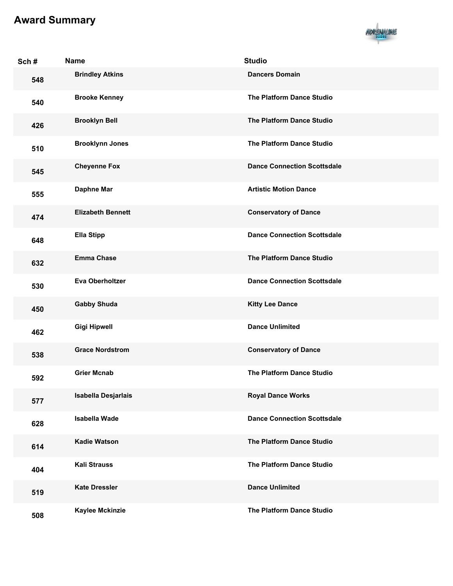

| Sch# | <b>Name</b>              | <b>Studio</b>                      |
|------|--------------------------|------------------------------------|
| 548  | <b>Brindley Atkins</b>   | <b>Dancers Domain</b>              |
| 540  | <b>Brooke Kenney</b>     | <b>The Platform Dance Studio</b>   |
| 426  | <b>Brooklyn Bell</b>     | The Platform Dance Studio          |
| 510  | <b>Brooklynn Jones</b>   | <b>The Platform Dance Studio</b>   |
| 545  | <b>Cheyenne Fox</b>      | <b>Dance Connection Scottsdale</b> |
| 555  | <b>Daphne Mar</b>        | <b>Artistic Motion Dance</b>       |
| 474  | <b>Elizabeth Bennett</b> | <b>Conservatory of Dance</b>       |
| 648  | <b>Ella Stipp</b>        | <b>Dance Connection Scottsdale</b> |
| 632  | <b>Emma Chase</b>        | The Platform Dance Studio          |
| 530  | <b>Eva Oberholtzer</b>   | <b>Dance Connection Scottsdale</b> |
| 450  | <b>Gabby Shuda</b>       | <b>Kitty Lee Dance</b>             |
| 462  | <b>Gigi Hipwell</b>      | <b>Dance Unlimited</b>             |
| 538  | <b>Grace Nordstrom</b>   | <b>Conservatory of Dance</b>       |
| 592  | <b>Grier Mcnab</b>       | <b>The Platform Dance Studio</b>   |
| 577  | Isabella Desjarlais      | <b>Royal Dance Works</b>           |
| 628  | <b>Isabella Wade</b>     | <b>Dance Connection Scottsdale</b> |
| 614  | <b>Kadie Watson</b>      | The Platform Dance Studio          |
| 404  | <b>Kali Strauss</b>      | The Platform Dance Studio          |
| 519  | <b>Kate Dressler</b>     | <b>Dance Unlimited</b>             |
| 508  | <b>Kaylee Mckinzie</b>   | The Platform Dance Studio          |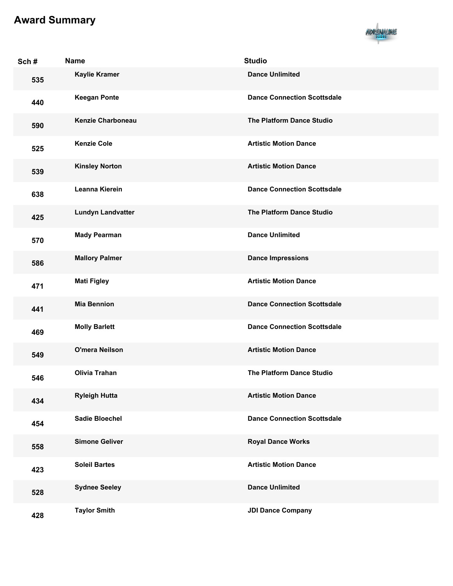

| Sch# | <b>Name</b>              | <b>Studio</b>                      |
|------|--------------------------|------------------------------------|
| 535  | <b>Kaylie Kramer</b>     | <b>Dance Unlimited</b>             |
| 440  | <b>Keegan Ponte</b>      | <b>Dance Connection Scottsdale</b> |
| 590  | <b>Kenzie Charboneau</b> | The Platform Dance Studio          |
| 525  | <b>Kenzie Cole</b>       | <b>Artistic Motion Dance</b>       |
| 539  | <b>Kinsley Norton</b>    | <b>Artistic Motion Dance</b>       |
| 638  | Leanna Kierein           | <b>Dance Connection Scottsdale</b> |
| 425  | <b>Lundyn Landvatter</b> | <b>The Platform Dance Studio</b>   |
| 570  | <b>Mady Pearman</b>      | <b>Dance Unlimited</b>             |
| 586  | <b>Mallory Palmer</b>    | <b>Dance Impressions</b>           |
| 471  | <b>Mati Figley</b>       | <b>Artistic Motion Dance</b>       |
| 441  | <b>Mia Bennion</b>       | <b>Dance Connection Scottsdale</b> |
| 469  | <b>Molly Barlett</b>     | <b>Dance Connection Scottsdale</b> |
| 549  | <b>O'mera Neilson</b>    | <b>Artistic Motion Dance</b>       |
| 546  | <b>Olivia Trahan</b>     | <b>The Platform Dance Studio</b>   |
| 434  | <b>Ryleigh Hutta</b>     | <b>Artistic Motion Dance</b>       |
| 454  | <b>Sadie Bloechel</b>    | <b>Dance Connection Scottsdale</b> |
| 558  | <b>Simone Geliver</b>    | <b>Royal Dance Works</b>           |
| 423  | <b>Soleil Bartes</b>     | <b>Artistic Motion Dance</b>       |
| 528  | <b>Sydnee Seeley</b>     | <b>Dance Unlimited</b>             |
| 428  | <b>Taylor Smith</b>      | <b>JDI Dance Company</b>           |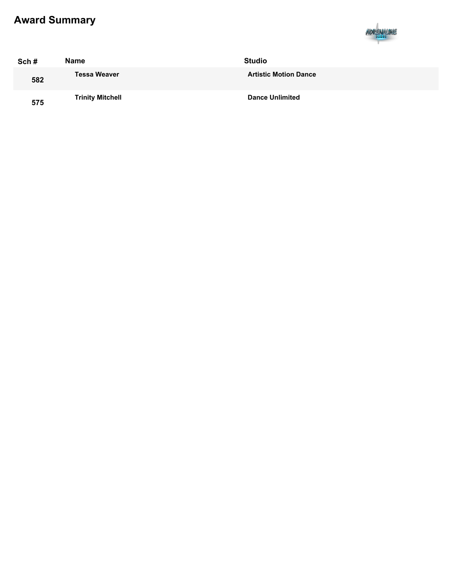

| Sch# | Name                    | <b>Studio</b>                |  |
|------|-------------------------|------------------------------|--|
| 582  | <b>Tessa Weaver</b>     | <b>Artistic Motion Dance</b> |  |
| 575  | <b>Trinity Mitchell</b> | <b>Dance Unlimited</b>       |  |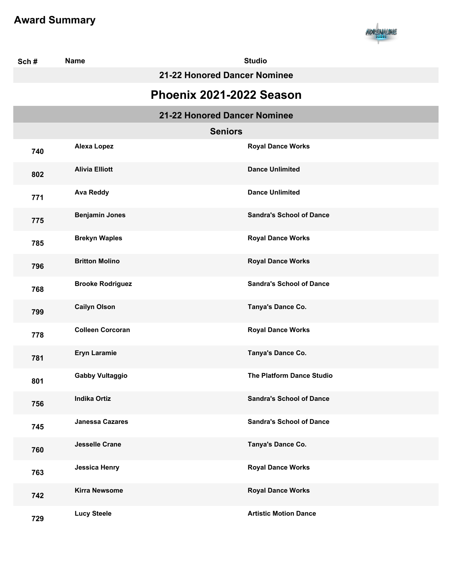

| Sch#                     | <b>Name</b>                  | <b>Studio</b>                    |  |  |  |
|--------------------------|------------------------------|----------------------------------|--|--|--|
|                          |                              | 21-22 Honored Dancer Nominee     |  |  |  |
| Phoenix 2021-2022 Season |                              |                                  |  |  |  |
|                          | 21-22 Honored Dancer Nominee |                                  |  |  |  |
|                          | <b>Seniors</b>               |                                  |  |  |  |
| 740                      | <b>Alexa Lopez</b>           | <b>Royal Dance Works</b>         |  |  |  |
| 802                      | <b>Alivia Elliott</b>        | <b>Dance Unlimited</b>           |  |  |  |
| 771                      | <b>Ava Reddy</b>             | <b>Dance Unlimited</b>           |  |  |  |
| 775                      | <b>Benjamin Jones</b>        | <b>Sandra's School of Dance</b>  |  |  |  |
| 785                      | <b>Brekyn Waples</b>         | <b>Royal Dance Works</b>         |  |  |  |
| 796                      | <b>Britton Molino</b>        | <b>Royal Dance Works</b>         |  |  |  |
| 768                      | <b>Brooke Rodriguez</b>      | <b>Sandra's School of Dance</b>  |  |  |  |
| 799                      | <b>Cailyn Olson</b>          | Tanya's Dance Co.                |  |  |  |
| 778                      | <b>Colleen Corcoran</b>      | <b>Royal Dance Works</b>         |  |  |  |
| 781                      | <b>Eryn Laramie</b>          | Tanya's Dance Co.                |  |  |  |
| 801                      | <b>Gabby Vultaggio</b>       | <b>The Platform Dance Studio</b> |  |  |  |
| 756                      | <b>Indika Ortiz</b>          | <b>Sandra's School of Dance</b>  |  |  |  |
| 745                      | <b>Janessa Cazares</b>       | <b>Sandra's School of Dance</b>  |  |  |  |
| 760                      | <b>Jesselle Crane</b>        | Tanya's Dance Co.                |  |  |  |
| 763                      | <b>Jessica Henry</b>         | <b>Royal Dance Works</b>         |  |  |  |
| 742                      | <b>Kirra Newsome</b>         | <b>Royal Dance Works</b>         |  |  |  |
| 729                      | <b>Lucy Steele</b>           | <b>Artistic Motion Dance</b>     |  |  |  |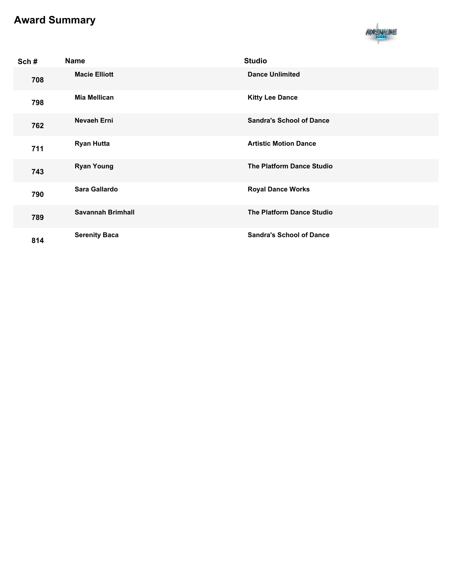

| Sch# | <b>Name</b>              | <b>Studio</b>                    |
|------|--------------------------|----------------------------------|
| 708  | <b>Macie Elliott</b>     | <b>Dance Unlimited</b>           |
| 798  | Mia Mellican             | <b>Kitty Lee Dance</b>           |
| 762  | Nevaeh Erni              | <b>Sandra's School of Dance</b>  |
| 711  | <b>Ryan Hutta</b>        | <b>Artistic Motion Dance</b>     |
| 743  | <b>Ryan Young</b>        | <b>The Platform Dance Studio</b> |
| 790  | Sara Gallardo            | <b>Royal Dance Works</b>         |
| 789  | <b>Savannah Brimhall</b> | <b>The Platform Dance Studio</b> |
| 814  | <b>Serenity Baca</b>     | <b>Sandra's School of Dance</b>  |